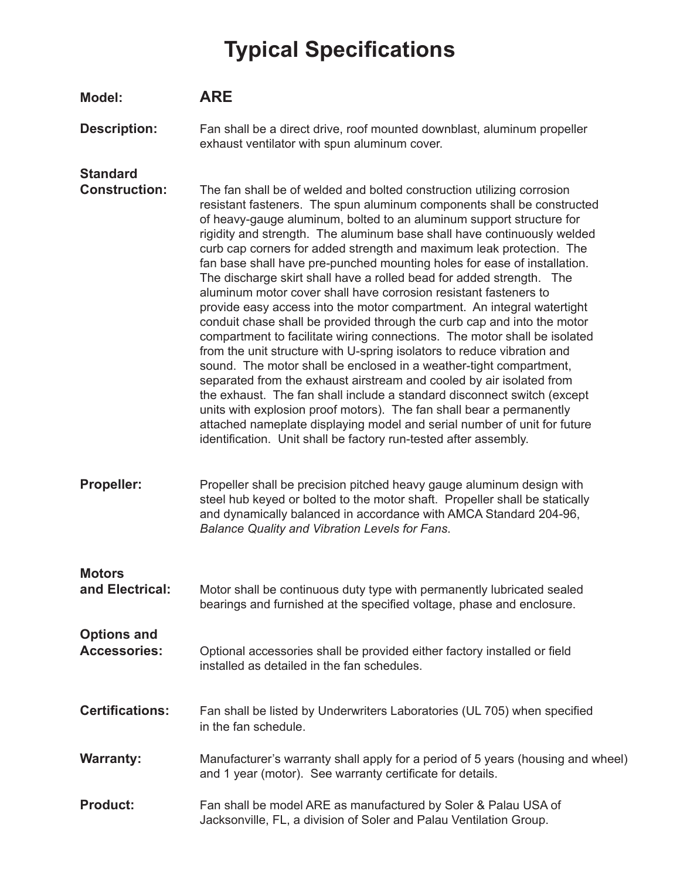## **Typical Specifications**

| Model:                                    | <b>ARE</b>                                                                                                                                                                                                                                                                                                                                                                                                                                                                                                                                                                                                                                                                                                                                                                                                                                                                                                                                                                                                                                                                                                                                                                                                                                                                                                                                                        |
|-------------------------------------------|-------------------------------------------------------------------------------------------------------------------------------------------------------------------------------------------------------------------------------------------------------------------------------------------------------------------------------------------------------------------------------------------------------------------------------------------------------------------------------------------------------------------------------------------------------------------------------------------------------------------------------------------------------------------------------------------------------------------------------------------------------------------------------------------------------------------------------------------------------------------------------------------------------------------------------------------------------------------------------------------------------------------------------------------------------------------------------------------------------------------------------------------------------------------------------------------------------------------------------------------------------------------------------------------------------------------------------------------------------------------|
| <b>Description:</b>                       | Fan shall be a direct drive, roof mounted downblast, aluminum propeller<br>exhaust ventilator with spun aluminum cover.                                                                                                                                                                                                                                                                                                                                                                                                                                                                                                                                                                                                                                                                                                                                                                                                                                                                                                                                                                                                                                                                                                                                                                                                                                           |
| <b>Standard</b><br><b>Construction:</b>   | The fan shall be of welded and bolted construction utilizing corrosion<br>resistant fasteners. The spun aluminum components shall be constructed<br>of heavy-gauge aluminum, bolted to an aluminum support structure for<br>rigidity and strength. The aluminum base shall have continuously welded<br>curb cap corners for added strength and maximum leak protection. The<br>fan base shall have pre-punched mounting holes for ease of installation.<br>The discharge skirt shall have a rolled bead for added strength. The<br>aluminum motor cover shall have corrosion resistant fasteners to<br>provide easy access into the motor compartment. An integral watertight<br>conduit chase shall be provided through the curb cap and into the motor<br>compartment to facilitate wiring connections. The motor shall be isolated<br>from the unit structure with U-spring isolators to reduce vibration and<br>sound. The motor shall be enclosed in a weather-tight compartment,<br>separated from the exhaust airstream and cooled by air isolated from<br>the exhaust. The fan shall include a standard disconnect switch (except<br>units with explosion proof motors). The fan shall bear a permanently<br>attached nameplate displaying model and serial number of unit for future<br>identification. Unit shall be factory run-tested after assembly. |
| <b>Propeller:</b>                         | Propeller shall be precision pitched heavy gauge aluminum design with<br>steel hub keyed or bolted to the motor shaft. Propeller shall be statically<br>and dynamically balanced in accordance with AMCA Standard 204-96,<br>Balance Quality and Vibration Levels for Fans.                                                                                                                                                                                                                                                                                                                                                                                                                                                                                                                                                                                                                                                                                                                                                                                                                                                                                                                                                                                                                                                                                       |
| <b>Motors</b><br>and Electrical:          | Motor shall be continuous duty type with permanently lubricated sealed<br>bearings and furnished at the specified voltage, phase and enclosure.                                                                                                                                                                                                                                                                                                                                                                                                                                                                                                                                                                                                                                                                                                                                                                                                                                                                                                                                                                                                                                                                                                                                                                                                                   |
| <b>Options and</b><br><b>Accessories:</b> | Optional accessories shall be provided either factory installed or field<br>installed as detailed in the fan schedules.                                                                                                                                                                                                                                                                                                                                                                                                                                                                                                                                                                                                                                                                                                                                                                                                                                                                                                                                                                                                                                                                                                                                                                                                                                           |
| <b>Certifications:</b>                    | Fan shall be listed by Underwriters Laboratories (UL 705) when specified<br>in the fan schedule.                                                                                                                                                                                                                                                                                                                                                                                                                                                                                                                                                                                                                                                                                                                                                                                                                                                                                                                                                                                                                                                                                                                                                                                                                                                                  |
| <b>Warranty:</b>                          | Manufacturer's warranty shall apply for a period of 5 years (housing and wheel)<br>and 1 year (motor). See warranty certificate for details.                                                                                                                                                                                                                                                                                                                                                                                                                                                                                                                                                                                                                                                                                                                                                                                                                                                                                                                                                                                                                                                                                                                                                                                                                      |
| <b>Product:</b>                           | Fan shall be model ARE as manufactured by Soler & Palau USA of<br>Jacksonville, FL, a division of Soler and Palau Ventilation Group.                                                                                                                                                                                                                                                                                                                                                                                                                                                                                                                                                                                                                                                                                                                                                                                                                                                                                                                                                                                                                                                                                                                                                                                                                              |